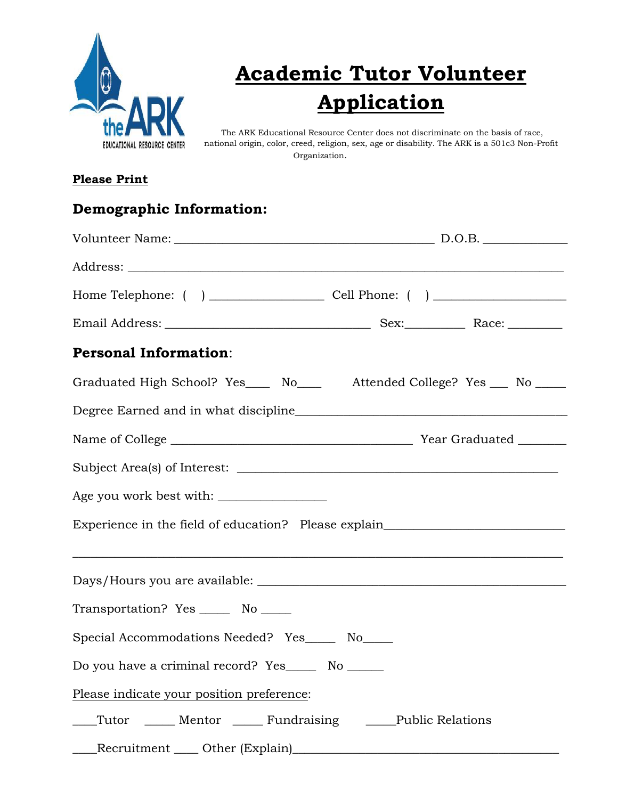

## **Academic Tutor Volunteer Application**

The ARK Educational Resource Center does not discriminate on the basis of race, national origin, color, creed, religion, sex, age or disability. The ARK is a 501c3 Non-Profit Organization.

## **Please Print**

| <b>Demographic Information:</b>                             |                                                                                  |
|-------------------------------------------------------------|----------------------------------------------------------------------------------|
|                                                             |                                                                                  |
|                                                             |                                                                                  |
|                                                             |                                                                                  |
|                                                             |                                                                                  |
| <b>Personal Information:</b>                                |                                                                                  |
|                                                             | Graduated High School? Yes____ No____ Attended College? Yes ___ No ____          |
|                                                             |                                                                                  |
|                                                             |                                                                                  |
|                                                             |                                                                                  |
|                                                             |                                                                                  |
|                                                             | Experience in the field of education? Please explain____________________________ |
|                                                             |                                                                                  |
| Transportation? Yes _______ No _____                        |                                                                                  |
| Special Accommodations Needed? Yes_____ No____              |                                                                                  |
| Do you have a criminal record? Yes_______ No ______         |                                                                                  |
| Please indicate your position preference:                   |                                                                                  |
| Tutor _____ Mentor _____ Fundraising ______Public Relations |                                                                                  |
|                                                             |                                                                                  |